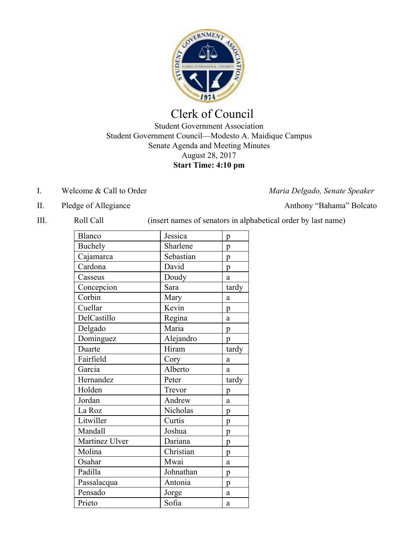

## Clerk of Council

Student Government Association Student Government Council—Modesto A. Maidique Campus Senate Agenda and Meeting Minutes August 28, 2017 **Start Time: 4:10 pm**

- I. Welcome & Call to Order *Maria Delgado, Senate Speaker*
	-
- II. Pledge of Allegiance Anthony "Bahama" Bolcato

| Ш. | Roll Call |  | (insert names of senators in alphabetical order by last name) |  |
|----|-----------|--|---------------------------------------------------------------|--|
|----|-----------|--|---------------------------------------------------------------|--|

| Blanco         | Jessica   | p     |
|----------------|-----------|-------|
| <b>Buchely</b> | Sharlene  | p     |
| Cajamarca      | Sebastian | p     |
| Cardona        | David     | p     |
| Casseus        | Doudy     | a     |
| Concepcion     | Sara      | tardy |
| Corbin         | Mary      | a     |
| Cuellar        | Kevin     | p     |
| DelCastillo    | Regina    | a     |
| Delgado        | Maria     | p     |
| Dominguez      | Alejandro | p     |
| Duarte         | Hiram     | tardy |
| Fairfield      | Cory      | a     |
| Garcia         | Alberto   | a     |
| Hernandez      | Peter     | tardy |
| Holden         | Trevor    | p     |
| Jordan         | Andrew    | a     |
| La Roz         | Nicholas  | p     |
| Litwiller      | Curtis    | p     |
| Mandall        | Joshua    | p     |
| Martinez Ulver | Dariana   | p     |
| Molina         | Christian | p     |
| Osahar         | Mwai      | a     |
| Padilla        | Johnathan | p     |
| Passalacqua    | Antonia   | p     |
| Pensado        | Jorge     | a     |
| Prieto         | Sofia     | a     |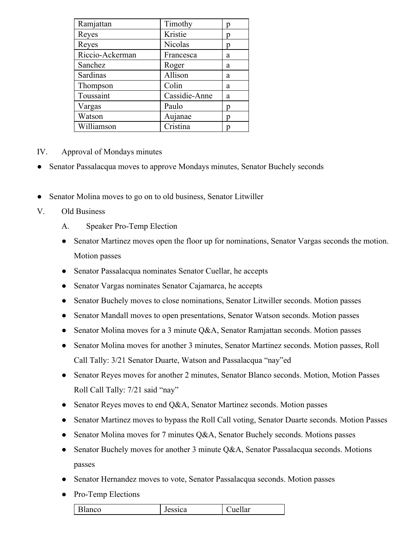| Ramjattan       | Timothy       | р |
|-----------------|---------------|---|
| Reyes           | Kristie       | р |
| Reyes           | Nicolas       | p |
| Riccio-Ackerman | Francesca     | a |
| Sanchez         | Roger         | a |
| Sardinas        | Allison       | a |
| Thompson        | Colin         | a |
| Toussaint       | Cassidie-Anne | a |
| Vargas          | Paulo         | р |
| Watson          | Aujanae       | р |
| Williamson      | Cristina      |   |

- IV. Approval of Mondays minutes
- Senator Passalacqua moves to approve Mondays minutes, Senator Buchely seconds
- Senator Molina moves to go on to old business, Senator Litwiller
- V. Old Business
	- A. Speaker Pro-Temp Election
	- Senator Martinez moves open the floor up for nominations, Senator Vargas seconds the motion. Motion passes
	- Senator Passalacqua nominates Senator Cuellar, he accepts
	- Senator Vargas nominates Senator Cajamarca, he accepts
	- Senator Buchely moves to close nominations, Senator Litwiller seconds. Motion passes
	- Senator Mandall moves to open presentations, Senator Watson seconds. Motion passes
	- Senator Molina moves for a 3 minute Q&A, Senator Ramjattan seconds. Motion passes
	- Senator Molina moves for another 3 minutes, Senator Martinez seconds. Motion passes, Roll Call Tally: 3/21 Senator Duarte, Watson and Passalacqua "nay"ed
	- Senator Reyes moves for another 2 minutes, Senator Blanco seconds. Motion, Motion Passes Roll Call Tally: 7/21 said "nay"
	- Senator Reyes moves to end Q&A, Senator Martinez seconds. Motion passes
	- Senator Martinez moves to bypass the Roll Call voting, Senator Duarte seconds. Motion Passes
	- Senator Molina moves for 7 minutes Q&A, Senator Buchely seconds. Motions passes
	- Senator Buchely moves for another 3 minute Q&A, Senator Passalacqua seconds. Motions passes
	- Senator Hernandez moves to vote, Senator Passalacqua seconds. Motion passes
	- Pro-Temp Elections

| - 1<br>$\sim$ $\sim$<br>$\alpha$<br>ca<br>UIIdi<br>Diane |
|----------------------------------------------------------|
|----------------------------------------------------------|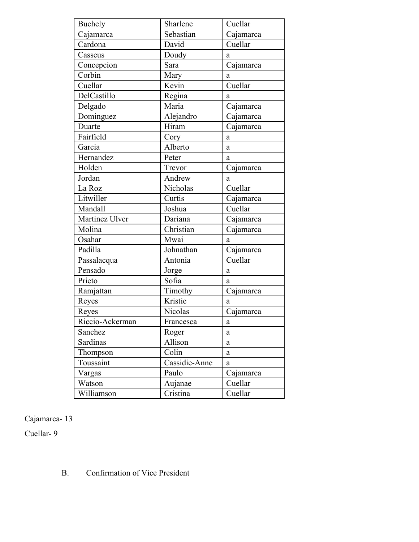| Buchely         | Sharlene      | Cuellar   |  |
|-----------------|---------------|-----------|--|
| Cajamarca       | Sebastian     | Cajamarca |  |
| Cardona         | David         | Cuellar   |  |
| Casseus         | Doudy         | a         |  |
| Concepcion      | Sara          | Cajamarca |  |
| Corbin          | Mary          | a         |  |
| Cuellar         | Kevin         | Cuellar   |  |
| DelCastillo     | Regina        | a         |  |
| Delgado         | Maria         | Cajamarca |  |
| Dominguez       | Alejandro     | Cajamarca |  |
| Duarte          | Hiram         | Cajamarca |  |
| Fairfield       | Cory          | a         |  |
| Garcia          | Alberto       | a         |  |
| Hernandez       | Peter         | a         |  |
| Holden          | Trevor        | Cajamarca |  |
| Jordan          | Andrew        | a         |  |
| La Roz          | Nicholas      | Cuellar   |  |
| Litwiller       | Curtis        | Cajamarca |  |
| Mandall         | Joshua        | Cuellar   |  |
| Martinez Ulver  | Dariana       | Cajamarca |  |
| Molina          | Christian     | Cajamarca |  |
| Osahar          | Mwai          | a         |  |
| Padilla         | Johnathan     | Cajamarca |  |
| Passalacqua     | Antonia       | Cuellar   |  |
| Pensado         | Jorge         | a         |  |
| Prieto          | Sofia         | a         |  |
| Ramjattan       | Timothy       | Cajamarca |  |
| Reyes           | Kristie       | a         |  |
| Reyes           | Nicolas       | Cajamarca |  |
| Riccio-Ackerman | Francesca     | a         |  |
| Sanchez         | Roger         | a         |  |
| Sardinas        | Allison       | a         |  |
| Thompson        | Colin         | a         |  |
| Toussaint       | Cassidie-Anne | a         |  |
| Vargas          | Paulo         | Cajamarca |  |
| Watson          | Aujanae       | Cuellar   |  |
| Williamson      | Cristina      | Cuellar   |  |

Cajamarca- 13

Cuellar- 9

## B. Confirmation of Vice President